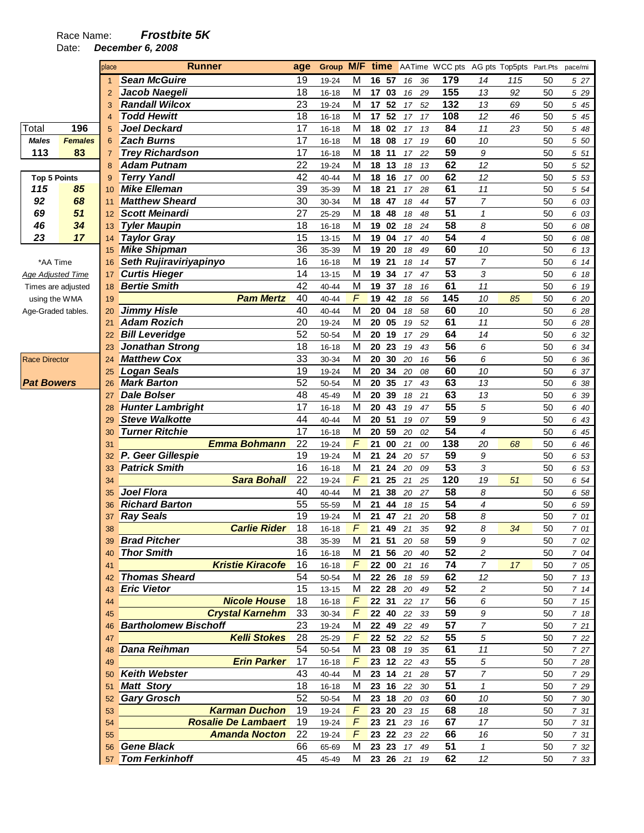Date: **December 6, 2008** 

|                      |                | place          | <b>Runner</b>                                      | age      |           |        |                   |        | <b>Group M/F time</b> AATime WCC pts AG pts Top5pts Part.Pts |                |     |    | pace/mi |
|----------------------|----------------|----------------|----------------------------------------------------|----------|-----------|--------|-------------------|--------|--------------------------------------------------------------|----------------|-----|----|---------|
|                      |                | 1              | <b>Sean McGuire</b>                                | 19       | 19-24     | M      | 16 57             | 16     | 179<br>36                                                    | 14             | 115 | 50 | 5 27    |
|                      |                | $\overline{2}$ | Jacob Naegeli                                      | 18       | $16 - 18$ | M      | 17 03             | 16     | 155<br>29                                                    | 13             | 92  | 50 | 5 29    |
|                      |                | 3              | <b>Randall Wilcox</b>                              | 23       | 19-24     | M      | 17 52             | 17     | 132<br>52                                                    | 13             | 69  | 50 | 5 45    |
|                      |                | $\overline{4}$ | <b>Todd Hewitt</b>                                 | 18       | 16-18     | M      | 17 52             | 17     | 108<br>17                                                    | 12             | 46  | 50 | 5 45    |
| Total                | 196            | 5              | <b>Joel Deckard</b>                                | 17       | $16 - 18$ | M      | 02<br>18          | 17     | 84<br>13                                                     | 11             | 23  | 50 | 5 48    |
| <b>Males</b>         | <b>Females</b> | 6              | <b>Zach Burns</b>                                  | 17       | 16-18     | M      | 18<br>08          | 17     | 60<br>19                                                     | 10             |     | 50 | 5 50    |
| 113                  | 83             | $\overline{7}$ | <b>Trey Richardson</b>                             | 17       | 16-18     | M      | 18<br>11          | 17     | 59<br>22                                                     | 9              |     | 50 | 5 51    |
|                      |                | 8              | <b>Adam Putnam</b>                                 | 22       | 19-24     | M      | 18 13             | 18     | 62<br>13                                                     | 12             |     | 50 | 5 52    |
| <b>Top 5 Points</b>  |                | 9              | <b>Terry Yandl</b>                                 | 42       | 40-44     | M      | 18 16             | 17     | 62<br>00                                                     | 12             |     | 50 | 5 53    |
| 115                  | 85             | 10             | <b>Mike Elleman</b>                                | 39       | 35-39     | M      | 21<br>18          | 17     | 61<br>28                                                     | $11$           |     | 50 | 5 54    |
| 92                   | 68             | 11             | <b>Matthew Sheard</b>                              | 30       | 30-34     | M      | 18<br>47          | 18     | 57<br>44                                                     | $\overline{7}$ |     | 50 | 6 03    |
| 69                   | 51             | 12             | <b>Scott Meinardi</b>                              | 27       | 25-29     | M      | 18<br>48          | 18     | $\overline{51}$<br>48                                        | $\mathbf{1}$   |     | 50 | 6 03    |
| 46                   | 34             | 13             | <b>Tyler Maupin</b>                                | 18       | 16-18     | M      | 19<br>02          | $18\,$ | $\overline{58}$<br>24                                        | 8              |     | 50 | 6 08    |
| 23                   | 17             | 14             | <b>Taylor Gray</b>                                 | 15       | 13-15     | M      | 19<br>04          | 17     | 54<br>40                                                     | $\overline{4}$ |     | 50 | 6 08    |
|                      |                | 15             | <b>Mike Shipman</b>                                | 36       | 35-39     | M      | 19<br>20          | 18     | 60<br>49                                                     | 10             |     | 50 | 6 13    |
| *AA Time             |                | 16             | Seth Rujiraviriyapinyo                             | 16       | 16-18     | M      | 19<br>21          | 18     | 57<br>14                                                     | 7              |     | 50 | 6 14    |
| Age Adjusted Time    |                | 17             | <b>Curtis Hieger</b>                               | 14       | $13 - 15$ | M      | 34<br>19          | 17     | 53<br>47                                                     | 3              |     | 50 | 6 18    |
| Times are adjusted   |                | 18             | <b>Bertie Smith</b>                                | 42       | 40-44     | M      | 37<br>19          | 18     | 61<br>16                                                     | 11             |     | 50 | 6 19    |
| using the WMA        |                | 19             | <b>Pam Mertz</b>                                   | 40       | 40-44     | F      | 19<br>42          | 18     | 145<br>56                                                    | 10             | 85  | 50 | 6 20    |
| Age-Graded tables.   |                | 20             | <b>Jimmy Hisle</b>                                 | 40       | 40-44     | M      | 20<br>04          | 18     | 60<br>58                                                     | 10             |     | 50 | 6 28    |
|                      |                | 21             | <b>Adam Rozich</b>                                 | 20       | 19-24     | M      | 20<br>05          | 19     | 61<br>52                                                     | 11             |     | 50 | 6 28    |
|                      |                | 22             | <b>Bill Leveridge</b>                              | 52       | 50-54     | M      | 20 19             | 17     | 64<br>29                                                     | 14             |     | 50 | 6 32    |
|                      |                | 23             | <b>Jonathan Strong</b>                             | 18       | 16-18     | M      | 20<br>23          | 19     | 56<br>43                                                     | 6              |     | 50 | 6 34    |
| <b>Race Director</b> |                | 24             | <b>Matthew Cox</b>                                 | 33       | 30-34     | M      | 20<br>30          | 20     | $\overline{56}$<br>16                                        | 6              |     | 50 | 6 36    |
|                      |                | 25             | <b>Logan Seals</b>                                 | 19       | 19-24     | M      | 20<br>34          | 20     | 60<br>08                                                     | 10             |     | 50 | 6 37    |
| <b>Pat Bowers</b>    |                | 26             | <b>Mark Barton</b>                                 | 52       | 50-54     | M      | 20 35             | 17     | 63<br>43                                                     | 13             |     | 50 | 6 38    |
|                      |                | 27             | <b>Dale Bolser</b>                                 | 48       | 45-49     | M      | 20<br>39          | 18     | 63<br>21                                                     | 13             |     | 50 | 6 39    |
|                      |                | 28             | <b>Hunter Lambright</b>                            | 17       | 16-18     | M      | 20 43             | 19     | 55<br>47                                                     | 5              |     | 50 | 6 40    |
|                      |                | 29             | <b>Steve Walkotte</b>                              | 44       | 40-44     | M      | 20 51             | 19     | 59<br>07                                                     | 9              |     | 50 | 6 43    |
|                      |                | 30             | <b>Turner Ritchie</b>                              | 17       | $16 - 18$ | M      | 59<br>20          | 20     | 54<br>02                                                     | $\overline{4}$ |     | 50 | 6 45    |
|                      |                | 31             | <b>Emma Bohmann</b>                                | 22       | 19-24     | F      | 21<br>00          | 21     | 138<br>00                                                    | 20             | 68  | 50 | 6 46    |
|                      |                | 32             | P. Geer Gillespie                                  | 19       | 19-24     | M      | 21<br>24          | 20     | 59<br>57                                                     | 9              |     | 50 | 6 53    |
|                      |                | 33             | <b>Patrick Smith</b>                               | 16       | $16 - 18$ | M      | 24<br>21          | 20     | 53<br>09                                                     | 3              |     | 50 | 6 53    |
|                      |                | 34             | <b>Sara Bohall</b>                                 | 22       | 19-24     | F      | 25<br>21          | 21     | 120<br>25                                                    | 19             | 51  | 50 | 6 54    |
|                      |                | 35             | Joel Flora                                         | 40       | 40-44     | M      | 21<br>38          | 20     | 58<br>27                                                     | 8              |     | 50 | 6 58    |
|                      |                | 36             | <b>Richard Barton</b>                              | 55       | 55-59     | M      | 21<br>44          | 18     | 54<br>15                                                     | 4              |     | 50 | 6 59    |
|                      |                | 37             | <b>Ray Seals</b>                                   | 19       | 19-24     | M      | 21<br>47          | 21     | $\overline{58}$<br>20                                        | 8              |     | 50 | 7 01    |
|                      |                | 38             | <b>Carlie Rider</b>                                | 18       | $16 - 18$ | F      | 21<br>49          | 21     | 92<br>35                                                     | 8              | 34  | 50 | 7 01    |
|                      |                | 39             | <b>Brad Pitcher</b>                                | 38       | 35-39     | M      | 21 51             | 20     | 59<br>58                                                     | 9              |     | 50 | 7 02    |
|                      |                | 40             | <b>Thor Smith</b>                                  | 16       | $16 - 18$ | M      | 21 56             | 20     | 52<br>40                                                     | $\overline{c}$ |     | 50 | 7 04    |
|                      |                | 41             | <b>Kristie Kiracofe</b>                            | 16       | 16-18     | F      | 22 00             | 21     | 74<br>16                                                     | $\overline{7}$ | 17  | 50 | 7 05    |
|                      |                | 42             | <b>Thomas Sheard</b>                               | 54       | 50-54     | M      | 22 26             | 18     | 62<br>59                                                     | 12             |     | 50 | 7 13    |
|                      |                | 43             | <b>Eric Vietor</b>                                 | 15       | $13 - 15$ | M      | 22 28             | 20     | 52<br>49                                                     | 2              |     | 50 | 714     |
|                      |                | 44             | <b>Nicole House</b>                                | 18       | $16 - 18$ | F      | 22 31             | 22     | 56<br>17                                                     | 6              |     | 50 | 7 15    |
|                      |                | 45             | <b>Crystal Karnehm</b>                             | 33       | 30-34     | F      | 22 40             | 22     | 59<br>33                                                     | 9              |     | 50 | 7 18    |
|                      |                | 46             | <b>Bartholomew Bischoff</b>                        | 23       | 19-24     | M      | 22 49             | 22     | 57<br>49                                                     | $\overline{7}$ |     | 50 | 721     |
|                      |                | 47             | <b>Kelli Stokes</b>                                | 28       | 25-29     | F      | 22 52             | 22     | 55<br>52                                                     | 5              |     | 50 | 7 22    |
|                      |                | 48             | <b>Dana Reihman</b><br><b>Erin Parker</b>          | 54       | 50-54     | M<br>F | 23 08<br>23 12 22 | 19     | 61<br>35<br>55                                               | 11             |     | 50 | 7 27    |
|                      |                | 49             |                                                    | 17       | 16-18     |        |                   |        | 43                                                           | 5              |     | 50 | 7 28    |
|                      |                | 50             | <b>Keith Webster</b>                               | 43       | 40-44     | M      | 23 14 21          |        | 57<br>28                                                     | $\overline{7}$ |     | 50 | 7 29    |
|                      |                | 51             | <b>Matt Story</b>                                  | 18       | 16-18     | M      | 23 16 22          |        | 51<br>30                                                     | $\mathbf{1}$   |     | 50 | 7 29    |
|                      |                | 52             | <b>Gary Grosch</b>                                 | 52<br>19 | 50-54     | M      | 23 18             | 20     | 60<br>03                                                     | 10             |     | 50 | 7 30    |
|                      |                | 53             | <b>Karman Duchon</b><br><b>Rosalie De Lambaert</b> | 19       | 19-24     | F      | 23 20             | 23     | 68<br>15<br>67                                               | 18             |     | 50 | 7 31    |
|                      |                | 54             |                                                    |          | 19-24     | F      | 23 21             | 23     | 16                                                           | 17             |     | 50 | 7 31    |
|                      |                | 55             | <b>Amanda Nocton</b><br><b>Gene Black</b>          | 22<br>66 | 19-24     | F      | 23 22<br>23 23    | 23     | 66<br>22<br>51                                               | 16             |     | 50 | 7 31    |
|                      |                | 56             | <b>Tom Ferkinhoff</b>                              | 45       | 65-69     | M      |                   | 17     | 49                                                           | $\mathbf{1}$   |     | 50 | 7 32    |
|                      |                | 57             |                                                    |          | 45-49     | м      | 23 26 21          |        | 62<br>19                                                     | 12             |     | 50 | 7 33    |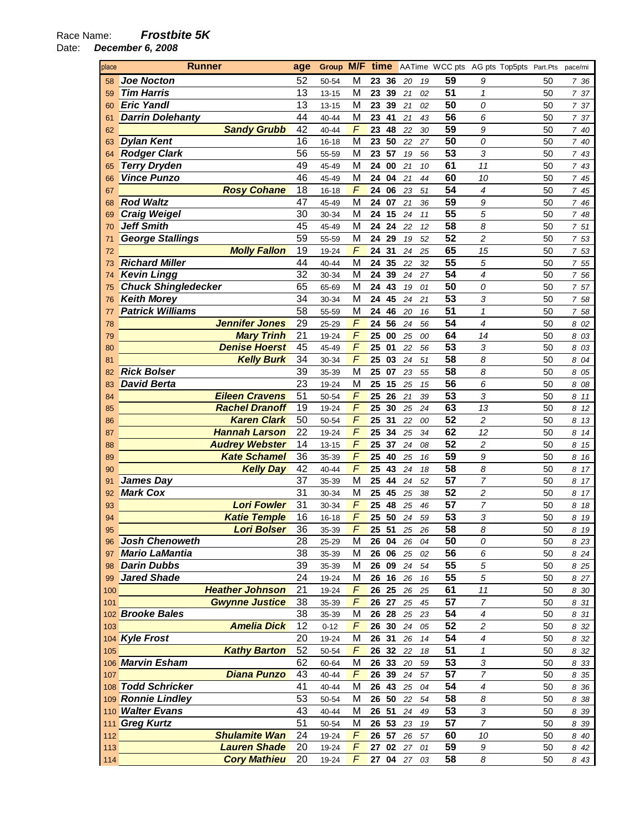Date: **December 6, 2008** 

| place | <b>Runner</b>              | age | Group M/F |                         | time      |          |          | AATime WCC pts AG pts Top5pts Part.Pts |    | pace/mi |
|-------|----------------------------|-----|-----------|-------------------------|-----------|----------|----------|----------------------------------------|----|---------|
| 58    | <b>Joe Nocton</b>          | 52  | 50-54     | M                       | 23<br>-36 | 20<br>19 | 59       | 9                                      | 50 | 736     |
| 59    | <b>Tim Harris</b>          | 13  | 13-15     | M                       | 23<br>39  | 21<br>02 | 51       | 1                                      | 50 | 7 37    |
| 60    | <b>Eric Yandl</b>          | 13  | $13 - 15$ | М                       | 23<br>39  | 21<br>02 | 50       | 0                                      | 50 | 7 37    |
| 61    | <b>Darrin Dolehanty</b>    | 44  | 40-44     | M                       | 23<br>41  | 21<br>43 | 56       | 6                                      | 50 | 7 37    |
| 62    | <b>Sandy Grubb</b>         | 42  | 40-44     | F                       | 23<br>48  | 22       | 59<br>30 | 9                                      | 50 | 740     |
| 63    | <b>Dylan Kent</b>          | 16  | 16-18     | M                       | 50<br>23  | 22<br>27 | 50       | 0                                      | 50 | 7 40    |
| 64    | <b>Rodger Clark</b>        | 56  | 55-59     | M                       | 57<br>23  | 19<br>56 | 53       | 3                                      | 50 | 7 43    |
|       | <b>Terry Dryden</b>        | 49  |           | M                       | 24<br>00  |          | 61       | 11                                     |    |         |
| 65    |                            |     | 45-49     |                         |           | 21       | 10       |                                        | 50 | 7 43    |
| 66    | <b>Vince Punzo</b>         | 46  | 45-49     | M                       | 24<br>04  | 21       | 60<br>44 | 10                                     | 50 | 7 45    |
| 67    | <b>Rosy Cohane</b>         | 18  | 16-18     | F                       | 24<br>06  | 23<br>51 | 54       | 4                                      | 50 | 7 45    |
| 68    | <b>Rod Waltz</b>           | 47  | 45-49     | M                       | 24<br>07  | 21       | 59<br>36 | 9                                      | 50 | 7<br>46 |
| 69    | <b>Craig Weigel</b>        | 30  | 30-34     | M                       | 24<br>15  | 24       | 55<br>11 | 5                                      | 50 | 7 48    |
| 70    | <b>Jeff Smith</b>          | 45  | 45-49     | M                       | 24<br>24  | 22<br>12 | 58       | 8                                      | 50 | 7 51    |
| 71    | <b>George Stallings</b>    | 59  | 55-59     | M                       | 24<br>29  | 19<br>52 | 52       | $\overline{c}$                         | 50 | 7 53    |
| 72    | <b>Molly Fallon</b>        | 19  | 19-24     | F                       | 24<br>31  | 24<br>25 | 65       | 15                                     | 50 | 7 53    |
| 73    | <b>Richard Miller</b>      | 44  | 40-44     | M                       | 24<br>35  | 22<br>32 | 55       | 5                                      | 50 | 7 55    |
| 74    | <b>Kevin Lingg</b>         | 32  | 30-34     | М                       | 24<br>39  | 24<br>27 | 54       | 4                                      | 50 | 7 56    |
| 75    | <b>Chuck Shingledecker</b> | 65  | 65-69     | M                       | 24<br>43  | 19<br>01 | 50       | 0                                      | 50 | 7 57    |
| 76    | <b>Keith Morey</b>         | 34  | 30-34     | M                       | 24<br>45  | 24<br>21 | 53       | 3                                      | 50 | 7 58    |
| 77    | <b>Patrick Williams</b>    | 58  | 55-59     | M                       | 24<br>46  | 20<br>16 | 51       | $\mathcal I$                           | 50 | 7 58    |
| 78    | <b>Jennifer Jones</b>      | 29  | 25-29     | F                       | 24<br>56  | 24<br>56 | 54       | 4                                      | 50 | 8 02    |
| 79    | <b>Mary Trinh</b>          | 21  | 19-24     | F                       | 25<br>00  | 25<br>00 | 64       | 14                                     | 50 | 03<br>8 |
| 80    | <b>Denise Hoerst</b>       | 45  | 45-49     | F                       | 25<br>01  | 22       | 53<br>56 | 3                                      | 50 | 8 03    |
| 81    | <b>Kelly Burk</b>          | 34  | 30-34     | F                       | 25<br>03  | 24<br>51 | 58       | 8                                      | 50 | 8 04    |
|       | <b>Rick Bolser</b>         | 39  |           | М                       | 25<br>07  | 23       | 58       | 8                                      | 50 |         |
| 82    |                            | 23  | 35-39     |                         |           | 55       | 56       |                                        |    | 05<br>8 |
| 83    | <b>David Berta</b>         | 51  | 19-24     | M<br>F                  | 25<br>15  | 25       | 15       | 6                                      | 50 | 8 08    |
| 84    | <b>Eileen Cravens</b>      |     | 50-54     |                         | 25<br>26  | 21<br>39 | 53       | 3                                      | 50 | 8<br>11 |
| 85    | <b>Rachel Dranoff</b>      | 19  | 19-24     | F                       | 25<br>30  | 25<br>24 | 63       | 13                                     | 50 | 8<br>12 |
| 86    | <b>Karen Clark</b>         | 50  | 50-54     | F                       | 25<br>31  | 22<br>00 | 52       | $\overline{c}$                         | 50 | 8 13    |
| 87    | <b>Hannah Larson</b>       | 22  | 19-24     | F                       | 25<br>34  | 25<br>34 | 62       | 12                                     | 50 | 8<br>14 |
| 88    | <b>Audrey Webster</b>      | 14  | 13-15     | $\sqrt{2}$              | 37<br>25  | 24<br>08 | 52       | $\overline{c}$                         | 50 | 8<br>15 |
| 89    | <b>Kate Schamel</b>        | 36  | 35-39     | $\overline{F}$          | 25<br>40  | 25       | 59<br>16 | 9                                      | 50 | 8<br>16 |
| 90    | <b>Kelly Day</b>           | 42  | 40-44     | $\sqrt{2}$              | 25<br>43  | 24       | 58<br>18 | 8                                      | 50 | 8<br>17 |
| 91    | James Day                  | 37  | 35-39     | M                       | 25<br>44  | 24<br>52 | 57       | $\overline{7}$                         | 50 | 8<br>17 |
| 92    | <b>Mark Cox</b>            | 31  | 30-34     | M                       | 25<br>45  | 25       | 52<br>38 | $\overline{c}$                         | 50 | 8<br>17 |
| 93    | <b>Lori Fowler</b>         | 31  | 30-34     | F                       | 25<br>48  | 25       | 57<br>46 | 7                                      | 50 | 8<br>18 |
| 94    | <b>Katie Temple</b>        | 16  | 16-18     | F                       | 25<br>50  | 24<br>59 | 53       | 3                                      | 50 | 8<br>19 |
| 95    | <b>Lori Bolser</b>         | 36  | 35-39     | $\mathsf{F}$            | 25<br>51  | 25<br>26 | 58       | 8                                      | 50 | 8 19    |
| 96    | <b>Josh Chenoweth</b>      | 28  | 25-29     | M                       | 26 04     | 26 04    | 50       | 0                                      | 50 | 8 2 3   |
| 97    | <b>Mario LaMantia</b>      | 38  | 35-39     | M                       | 26 06     | 25 02    | 56       | 6                                      | 50 | 8 2 4   |
| 98    | <b>Darin Dubbs</b>         | 39  | 35-39     | M                       | 26 09     | 24 54    | 55       | 5                                      | 50 | 8 2 5   |
| 99    | <b>Jared Shade</b>         | 24  | 19-24     | M                       | 26 16     | 26<br>16 | 55       | 5                                      | 50 | 8 27    |
| 100   | <b>Heather Johnson</b>     | 21  | 19-24     | $\overline{F}$          | 26 25     | 26<br>25 | 61       | 11                                     | 50 | 8 30    |
| 101   | <b>Gwynne Justice</b>      | 38  | 35-39     | F                       | 26 27     | 25<br>45 | 57       | $\overline{7}$                         | 50 | 8 31    |
|       | 102 Brooke Bales           | 38  | 35-39     | M                       | 26 28     | 25<br>23 | 54       | $\boldsymbol{4}$                       | 50 | 8 31    |
| 103   | <b>Amelia Dick</b>         | 12  | $0 - 12$  | $\boldsymbol{\digamma}$ | 26 30     | 24<br>05 | 52       | $\overline{c}$                         | 50 | 8 32    |
|       | 104 Kyle Frost             | 20  | 19-24     | M                       | 26 31     | 26<br>14 | 54       | $\boldsymbol{4}$                       | 50 | 8 32    |
| 105   | <b>Kathy Barton</b>        | 52  | 50-54     | F                       | 26 32     | 22<br>18 | 51       | 1                                      | 50 | 8 32    |
|       | 106 Marvin Esham           | 62  | 60-64     | М                       | 26 33     | 20<br>59 | 53       | 3                                      | 50 | 8 3 3   |
| 107   | <b>Diana Punzo</b>         | 43  | 40-44     | F                       | 26 39     | 24<br>57 | 57       | 7                                      | 50 | 8 35    |
|       | 108 Todd Schricker         | 41  |           | M                       | 26 43     |          | 54       | 4                                      | 50 |         |
|       |                            |     | 40-44     | М                       | 26 50     | 25<br>04 | 58       |                                        |    | 8 36    |
|       | 109 Ronnie Lindley         | 53  | 50-54     |                         |           | 22<br>54 |          | 8                                      | 50 | 8 38    |
|       | 110 Walter Evans           | 43  | 40-44     | М                       | 26 51     | 24<br>49 | 53       | 3                                      | 50 | 8 3 9   |
|       | 111 Greg Kurtz             | 51  | 50-54     | М                       | 26 53     | 23<br>19 | 57       | $\overline{7}$                         | 50 | 8 3 9   |
| 112   | <b>Shulamite Wan</b>       | 24  | 19-24     | F                       | 26 57     | 26<br>57 | 60       | 10                                     | 50 | 8 40    |
| 113   | <b>Lauren Shade</b>        | 20  | 19-24     | F                       | 27 02     | 27<br>01 | 59       | 9                                      | 50 | 8 42    |
| 114   | <b>Cory Mathieu</b>        | 20  | 19-24     | $\overline{F}$          | 27 04 27  | 03       | 58       | 8                                      | 50 | 8 43    |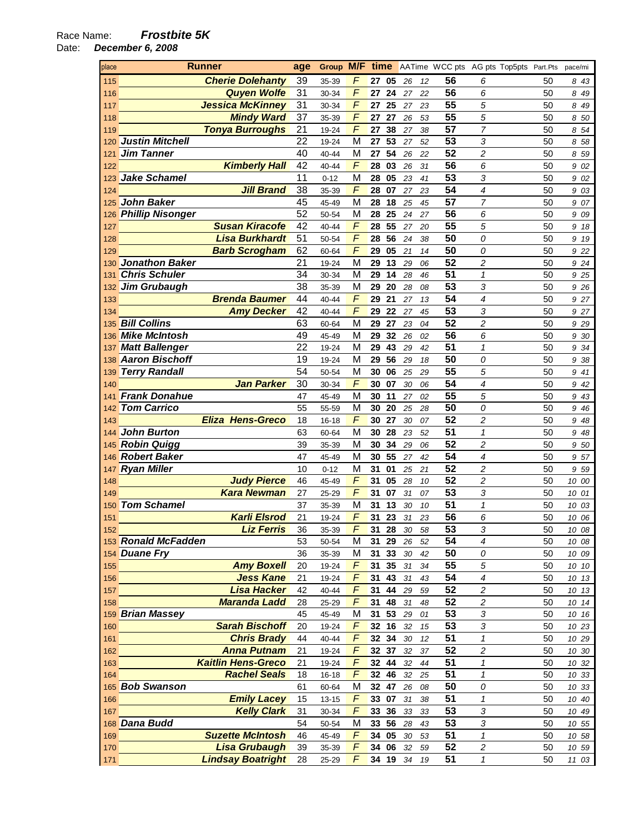Date: **December 6, 2008** 

| place      | <b>Runner</b>                                   |          | Group M/F time |            |                |          |          |          | AATime WCC pts AG pts Top5pts Part.Pts |          | pace/mi        |
|------------|-------------------------------------------------|----------|----------------|------------|----------------|----------|----------|----------|----------------------------------------|----------|----------------|
| 115        | <b>Cherie Dolehanty</b>                         | 39       | 35-39          | F          | 27<br>05       | 26       | 12       | 56       | 6                                      | 50       | 843            |
| 116        | <b>Quyen Wolfe</b>                              | 31       | 30-34          | F          | 27<br>24       | 27       | 22       | 56       | 6                                      | 50       | 8 49           |
| 117        | <b>Jessica McKinney</b>                         | 31       | 30-34          | F          | 27<br>25       | 27       | 23       | 55       | 5                                      | 50       | 8 49           |
| 118        | <b>Mindy Ward</b>                               | 37       | 35-39          | F          | 27<br>27       | 26       | 53       | 55       | 5                                      | 50       | 8 50           |
| 119        | <b>Tonya Burroughs</b>                          | 21       | 19-24          | F          | 27<br>38       | 27       | 38       | 57       | 7                                      | 50       | 854            |
| 120        | <b>Justin Mitchell</b>                          | 22       | 19-24          | M          | 53<br>27       | 27       | 52       | 53       | 3                                      | 50       | 8 58           |
| 121        | <b>Jim Tanner</b>                               | 40       | 40-44          | M          | 54<br>27       | 26       | 22       | 52       | 2                                      | 50       | 8 59           |
| 122        | <b>Kimberly Hall</b>                            | 42       | 40-44          | $\sqrt{2}$ | 28<br>03       | 26       | 31       | 56       | 6                                      | 50       | 9 02           |
| 123        | <b>Jake Schamel</b>                             | 11       | $0 - 12$       | M          | 05<br>28       | 23       | 41       | 53       | 3                                      | 50       | 9 02           |
| 124        | <b>Jill Brand</b>                               | 38       | 35-39          | F          | 28<br>07       | 27       | 23       | 54       | 4                                      | 50       | 9 03           |
| 125        | John Baker                                      | 45       | 45-49          | M          | 28<br>18       | 25       | 45       | 57       | 7                                      | 50       | 9<br>07        |
| 126        | <b>Phillip Nisonger</b>                         | 52       | 50-54          | M          | 28<br>25       | 24       | 27       | 56       | 6                                      | 50       | 9<br>09        |
| 127        | <b>Susan Kiracofe</b>                           | 42       | 40-44          | F          | 55<br>28       | 27       | 20       | 55       | 5                                      | 50       | 9<br>18        |
| 128        | <b>Lisa Burkhardt</b>                           | 51       | 50-54          | F          | 56<br>28       | 24       | 38       | 50       | 0                                      | 50       | 9<br>19        |
| 129        | <b>Barb Scrogham</b>                            | 62       | 60-64          | F          | 29<br>05       | 21       | 14       | 50       | 0                                      | 50       | 9 22           |
| 130        | <b>Jonathon Baker</b>                           | 21       | 19-24          | M          | 29<br>13       | 29       | 06       | 52       | $\overline{c}$                         | 50       | 9 24           |
| 131        | <b>Chris Schuler</b>                            | 34       | 30-34          | M          | 29<br>14       | 28       | 46       | 51       | $\mathcal I$                           | 50       | 9 25           |
| 132        | <b>Jim Grubaugh</b>                             | 38       | 35-39          | M          | 29<br>20       | 28       | 08       | 53       | 3                                      | 50       | 9 26           |
| 133        | <b>Brenda Baumer</b>                            | 44       | 40-44          | F          | 29<br>21       | 27       | 13       | 54       | 4                                      | 50       | 9 27           |
| 134        | <b>Amy Decker</b>                               | 42       | 40-44          | $\sqrt{ }$ | 22<br>29       | 27       | 45       | 53       | 3                                      | 50       | 9 27           |
| 135        | <b>Bill Collins</b>                             | 63       | 60-64          | M          | 29<br>27       | 23       | 04       | 52       | 2                                      | 50       | 9 2 9          |
| 136        | <b>Mike McIntosh</b>                            | 49       | 45-49          | M          | 32<br>29       | 26       | 02       | 56       | 6                                      | 50       | 9 30           |
| 137        | <b>Matt Ballenger</b>                           | 22       | 19-24          | M          | 29<br>43       | 29       | 42       | 51       | 1                                      | 50       | 9<br>34        |
| 138        | <b>Aaron Bischoff</b>                           | 19       | 19-24          | M          | 56<br>29       | 29       | 18       | 50       | 0                                      | 50       | 9<br>38        |
| 139        | <b>Terry Randall</b>                            | 54       | 50-54          | M          | 30<br>06       | 25       | 29       | 55       | 5                                      | 50       | 9<br>41        |
| 140        | <b>Jan Parker</b>                               | 30       | 30-34          | $\sqrt{2}$ | 07<br>30       | 30       | 06       | 54       | 4                                      | 50       | 9<br>42        |
| 141        | <b>Frank Donahue</b>                            | 47       | 45-49          | M          | 30<br>11       | 27       | 02       | 55       | 5                                      | 50       | 9 43           |
| 142        | <b>Tom Carrico</b>                              | 55       | 55-59          | M          | 30<br>20       | 25       | 28       | 50       | 0                                      | 50       | 9 46           |
| 143        | <b>Eliza Hens-Greco</b>                         | 18       | 16-18          | $\sqrt{2}$ | 30<br>27       | 30       | 07       | 52       | $\overline{c}$                         | 50       | 9 48           |
| 144        | John Burton                                     | 63       | 60-64          | M          | 30<br>28       | 23       | 52       | 51       | $\mathcal I$                           | 50       | 9<br>48        |
| 145        | <b>Robin Quigg</b>                              | 39       | 35-39          | M          | 30<br>34       | 29       | 06       | 52       | $\overline{c}$                         | 50       | 9 50           |
| 146        | <b>Robert Baker</b>                             | 47       | 45-49          | M          | 55<br>30       | 27       | 42       | 54       | 4                                      | 50       | 9 57           |
| 147        | <b>Ryan Miller</b>                              | 10       | $0 - 12$       | M          | 31<br>01       | 25       | 21       | 52       | 2                                      | 50       | 9 59           |
| 148        | <b>Judy Pierce</b>                              | 46       | 45-49          | F          | 31<br>05       | 28       | 10       | 52       | 2                                      | 50       | 10 00          |
| 149        | <b>Kara Newman</b>                              | 27       | 25-29          | F          | 31<br>07       | 31       | 07       | 53       | 3                                      | 50       | 10 01          |
| 150        | <b>Tom Schamel</b>                              | 37       | 35-39          | M          | 31<br>13       | 30       | 10       | 51       | 1                                      | 50       | 10 03          |
| 151        | <b>Karli Elsrod</b>                             | 21       | 19-24          | F          | 31<br>23       | 31       | 23       | 56       | 6                                      | 50       | 10 06          |
| 152        | <b>Liz Ferris</b>                               | 36       | 35-39          | F          | 31<br>28       | 30       | 58       | 53       | 3                                      | 50       | 10 08          |
|            | 153 Ronald McFadden                             | 53       | 50-54          | M          | 29<br>31       | 26       | 52       | 54       | 4                                      | 50       | 10 08          |
|            | 154 Duane Fry                                   | 36       | 35-39          | M          | 33<br>31       | $30\,$   | 42       | 50       | 0                                      | 50       | 10 09          |
| 155        | <b>Amy Boxell</b>                               | 20       | 19-24          | F          | 35<br>31       | 31       | 34       | 55       | 5                                      | 50       | 10 10          |
| 156        | <b>Jess Kane</b>                                | 21       | 19-24          | $\sqrt{2}$ | 31<br>43       | 31       | 43       | 54       | 4                                      | 50       | 10 13          |
| 157        | <b>Lisa Hacker</b>                              | 42       | 40-44          | $\digamma$ | 44<br>31       | 29       | 59       | 52       | $\overline{c}$                         | 50       | 10 13          |
| 158        | <b>Maranda Ladd</b>                             | 28       | 25-29          | $\sqrt{2}$ | 31<br>48       | 31       | 48       | 52       | 2                                      | 50       | 10 14          |
| 159        | <b>Brian Massey</b><br><b>Sarah Bischoff</b>    | 45       | 45-49          | M          | 53<br>31       | 29       | 01       | 53       | 3                                      | 50       | 10 16          |
| 160        |                                                 | 20       | 19-24          | F          | 16<br>32       | 32       | 15       | 53       | 3                                      | 50       | 10 23          |
| 161        | <b>Chris Brady</b>                              | 44       | 40-44          | F          | 32<br>34       | 30       | 12       | 51       | $\mathbf{1}$                           | 50       | 10 29          |
| 162        | <b>Anna Putnam</b><br><b>Kaitlin Hens-Greco</b> | 21       | 19-24          | F<br>F     | 32 37<br>32 44 | 32       | 37       | 52<br>51 | $\overline{c}$                         | 50       | 10 30<br>10 32 |
| 163        | <b>Rachel Seals</b>                             | 21<br>18 | 19-24<br>16-18 | F          | 46<br>32       | 32<br>32 | 44       | 51       | 1<br>1                                 | 50<br>50 |                |
| 164        | 165 Bob Swanson                                 | 61       |                | M          | 32<br>47       | 26       | 25       | 50       | 0                                      | 50       | 10 33          |
|            | <b>Emily Lacey</b>                              | 15       | 60-64<br>13-15 | F          | 33<br>07       | 31       | 08<br>38 | 51       | $\boldsymbol{\mathcal{L}}$             | 50       | 10 33<br>10 40 |
| 166<br>167 | <b>Kelly Clark</b>                              | 31       | 30-34          | F          | 33<br>36       | 33       | 33       | 53       | 3                                      | 50       | 10 49          |
| 168        | Dana Budd                                       | 54       | 50-54          | M          | 56<br>33       | 28       | 43       | 53       | 3                                      | 50       | 10 55          |
|            | <b>Suzette McIntosh</b>                         | 46       | 45-49          | F          | 34<br>05       | 30       | 53       | 51       | 1                                      | 50       | 10 58          |
| 169<br>170 | <b>Lisa Grubaugh</b>                            | 39       | 35-39          | F          | 34<br>06       | 32       | 59       | 52       | 2                                      | 50       | 10 59          |
| 171        | <b>Lindsay Boatright</b>                        | 28       | 25-29          | $\sqrt{ }$ | 34 19          | 34       | 19       | 51       | $\mathbf{1}$                           | 50       | 11 03          |
|            |                                                 |          |                |            |                |          |          |          |                                        |          |                |